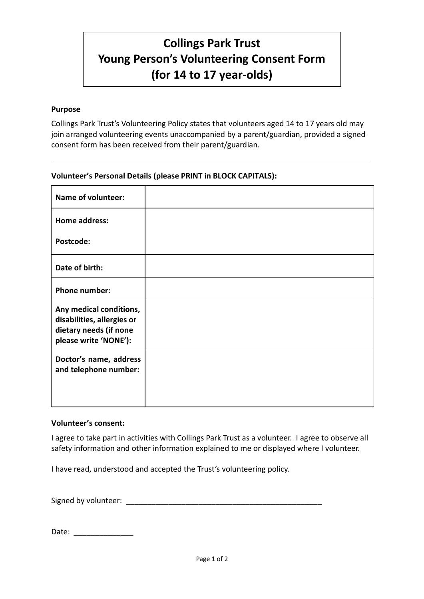# **Collings Park Trust Young Person's Volunteering Consent Form (for 14 to 17 year-olds)**

### **Purpose**

Collings Park Trust's Volunteering Policy states that volunteers aged 14 to 17 years old may join arranged volunteering events unaccompanied by a parent/guardian, provided a signed consent form has been received from their parent/guardian.

### **Volunteer's Personal Details (please PRINT in BLOCK CAPITALS):**

| <b>Name of volunteer:</b>                                                                                |  |
|----------------------------------------------------------------------------------------------------------|--|
| <b>Home address:</b>                                                                                     |  |
| Postcode:                                                                                                |  |
| Date of birth:                                                                                           |  |
| <b>Phone number:</b>                                                                                     |  |
| Any medical conditions,<br>disabilities, allergies or<br>dietary needs (if none<br>please write 'NONE'): |  |
| Doctor's name, address<br>and telephone number:                                                          |  |

#### **Volunteer's consent:**

I agree to take part in activities with Collings Park Trust as a volunteer. I agree to observe all safety information and other information explained to me or displayed where I volunteer.

I have read, understood and accepted the Trust's volunteering policy.

Signed by volunteer: